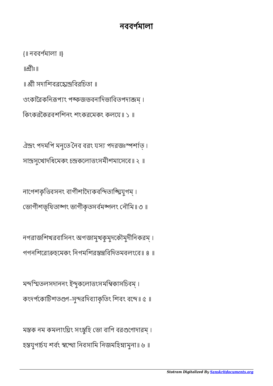## নববণমালা

{॥ নববণমালা ॥}

 $\mathbb{R}$ ীঃ॥

॥ শ্রী সদাশিবরহোন্দ্রবিরচিতা ॥

ওংকারৈকনিরূপ্যং পঙ্কজভবনাদিভাবিতপদাব্জম্।

িকংকরৈকরবশিশনং শংকরেমকং কলেয॥ ১ ॥

ঐন্দ্রং পদমপি মনুতে নৈব বরং যস্য পদরজঃস্পর্শাত্। সান্দ্রসুখোদধিমেকং চন্দ্রকলোত্তংসমীশমাসেবে॥ ২ ॥

নাগেশকৃত্তিবসনং বাগীশাদ্যৈকবন্দিতাঙ্ঘ্যিযুগম্। ভোগীশভূষিতাব্গং ভাগীকৃতসৰ্বমব্জলং নৌমি॥ ৩ ॥

নগরাজিশখরবািসনং অগজামুখকুমুদেকৗমুদীিনকরম্ । গগনিশেরাহেমকং িনগমিশরিবিদতমবলংেব॥ ৪ ॥

মন্দস্মিতলসদাননং ইন্দুকলোত্তংসমস্বিকাসচিবম্। কংদর্পকোটিশতগুণ-সুন্দরদিব্যাকৃতিং শিবং বন্দে॥ ৫ ॥

মস্তক নম কমলাংঘ্রিং সংস্তুহি ভো বাণি বরগুণোদারম্। হস্তযুগাৰ্চয শৰ্বং স্বম্খো নিবসামি নিজমহিম্ন্যমুনা॥ ৬ ॥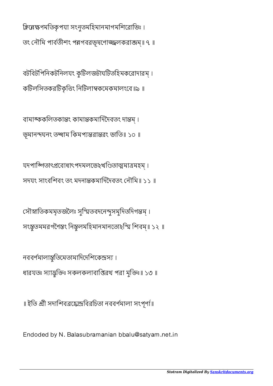ক্লিয়েক্ষণমতিকৃপযা সংনুতমহিমানমাগমশিরোভিঃ।

তং নৌমি পার্বতীশং পন্নগবরভূষণোজ্জ্বলকরাজম॥ ৭ ॥

বটিবটিপিনকটিনলযং কুিটলজটাঘিটতিহমকেরাদারম্ । কিটলিসতকরিটকৃিং িনিটলাকেমকমালংেব॥৯ ॥

বামাঙ্ককলিতকান্তং কামান্তকমাদিদৈবতং দান্তম্। ভূমানন্দঘনং তন্ধাম কিমপ্যন্তরান্তরং ভাতি॥ ১০ ॥

যদপাব্গিতাৎপ্ৰবোধাৎপদমলভেঽখণ্ডিতাত্মমাত্ৰমহম্। সদযং সাংবিশবং তং মদনাকমািদৈদবতং নৗিম॥ ১১ ॥

সৌস্নাতিকমমৃতজলৈঃ সুস্মিতবদনেন্দুসমুদিতদিগন্তম্। সংস্তৃতমমরগণৈস্তং নিস্তুলমহিমানমানতোহস্মি শিবম্॥ ১২ ॥

নববর্ণমালান্তুতিমেতামাদিদেশিকেন্দ্রস্য। ধারযতঃ স্যাদ্ভক্তিঃ সকলকলাবাপ্তিরথ পরা মৃক্তিঃ॥ ১৩ ॥

॥ ইতি শ্রী সদাশিবব্রহ্মেন্দ্রবিরচিতা নববর্ণমালা সংপূর্ণা॥

Endoded by N. Balasubramanian bbalu@satyam.net.in